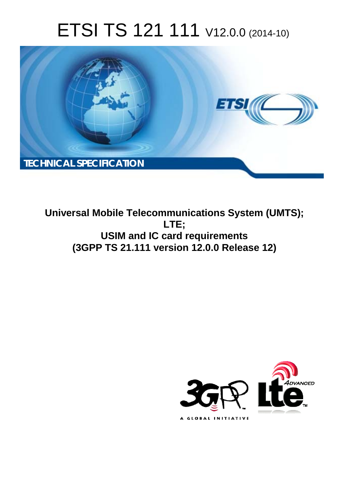# ETSI TS 121 111 V12.0.0 (2014-10)



**Universal Mobile Telecommunications System (UMTS); LTE; USIM and IC card requirements (3GPP TS 21.111 version 12.0.0 Release 12)** 

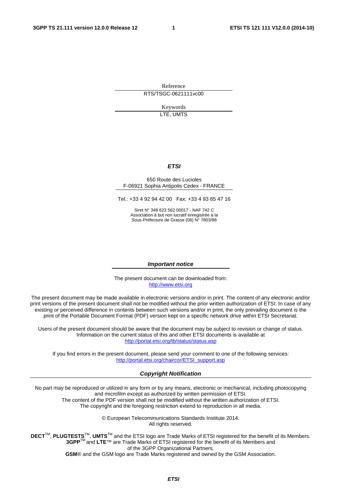Reference RTS/TSGC-0621111vc00

> Keywords LTE, UMTS

#### *ETSI*

#### 650 Route des Lucioles F-06921 Sophia Antipolis Cedex - FRANCE

Tel.: +33 4 92 94 42 00 Fax: +33 4 93 65 47 16

Siret N° 348 623 562 00017 - NAF 742 C Association à but non lucratif enregistrée à la Sous-Préfecture de Grasse (06) N° 7803/88

#### *Important notice*

The present document can be downloaded from: [http://www.etsi.org](http://www.etsi.org/)

The present document may be made available in electronic versions and/or in print. The content of any electronic and/or print versions of the present document shall not be modified without the prior written authorization of ETSI. In case of any existing or perceived difference in contents between such versions and/or in print, the only prevailing document is the print of the Portable Document Format (PDF) version kept on a specific network drive within ETSI Secretariat.

Users of the present document should be aware that the document may be subject to revision or change of status. Information on the current status of this and other ETSI documents is available at <http://portal.etsi.org/tb/status/status.asp>

If you find errors in the present document, please send your comment to one of the following services: [http://portal.etsi.org/chaircor/ETSI\\_support.asp](http://portal.etsi.org/chaircor/ETSI_support.asp)

#### *Copyright Notification*

No part may be reproduced or utilized in any form or by any means, electronic or mechanical, including photocopying and microfilm except as authorized by written permission of ETSI.

The content of the PDF version shall not be modified without the written authorization of ETSI. The copyright and the foregoing restriction extend to reproduction in all media.

> © European Telecommunications Standards Institute 2014. All rights reserved.

**DECT**TM, **PLUGTESTS**TM, **UMTS**TM and the ETSI logo are Trade Marks of ETSI registered for the benefit of its Members. **3GPP**TM and **LTE**™ are Trade Marks of ETSI registered for the benefit of its Members and of the 3GPP Organizational Partners.

**GSM**® and the GSM logo are Trade Marks registered and owned by the GSM Association.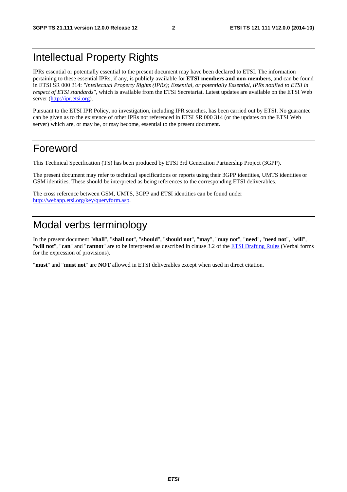# Intellectual Property Rights

IPRs essential or potentially essential to the present document may have been declared to ETSI. The information pertaining to these essential IPRs, if any, is publicly available for **ETSI members and non-members**, and can be found in ETSI SR 000 314: *"Intellectual Property Rights (IPRs); Essential, or potentially Essential, IPRs notified to ETSI in respect of ETSI standards"*, which is available from the ETSI Secretariat. Latest updates are available on the ETSI Web server [\(http://ipr.etsi.org](http://webapp.etsi.org/IPR/home.asp)).

Pursuant to the ETSI IPR Policy, no investigation, including IPR searches, has been carried out by ETSI. No guarantee can be given as to the existence of other IPRs not referenced in ETSI SR 000 314 (or the updates on the ETSI Web server) which are, or may be, or may become, essential to the present document.

### Foreword

This Technical Specification (TS) has been produced by ETSI 3rd Generation Partnership Project (3GPP).

The present document may refer to technical specifications or reports using their 3GPP identities, UMTS identities or GSM identities. These should be interpreted as being references to the corresponding ETSI deliverables.

The cross reference between GSM, UMTS, 3GPP and ETSI identities can be found under [http://webapp.etsi.org/key/queryform.asp.](http://webapp.etsi.org/key/queryform.asp)

# Modal verbs terminology

In the present document "**shall**", "**shall not**", "**should**", "**should not**", "**may**", "**may not**", "**need**", "**need not**", "**will**", "**will not**", "**can**" and "**cannot**" are to be interpreted as described in clause 3.2 of the [ETSI Drafting Rules](http://portal.etsi.org/Help/editHelp!/Howtostart/ETSIDraftingRules.aspx) (Verbal forms for the expression of provisions).

"**must**" and "**must not**" are **NOT** allowed in ETSI deliverables except when used in direct citation.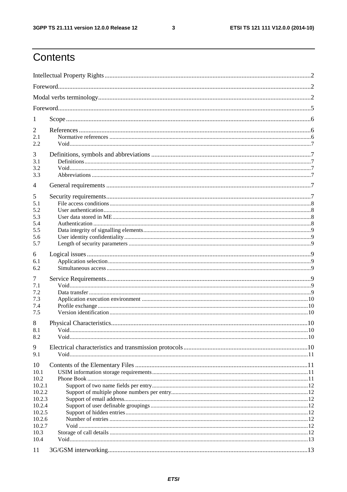$\mathbf{3}$ 

# Contents

| 1                |  |  |  |  |  |
|------------------|--|--|--|--|--|
| 2                |  |  |  |  |  |
| 2.1<br>2.2       |  |  |  |  |  |
| 3<br>3.1<br>3.2  |  |  |  |  |  |
| 3.3              |  |  |  |  |  |
| $\overline{4}$   |  |  |  |  |  |
| 5                |  |  |  |  |  |
| 5.1              |  |  |  |  |  |
| 5.2<br>5.3       |  |  |  |  |  |
| 5.4              |  |  |  |  |  |
| 5.5<br>5.6       |  |  |  |  |  |
| 5.7              |  |  |  |  |  |
| 6<br>6.1<br>6.2  |  |  |  |  |  |
| 7                |  |  |  |  |  |
| 7.1<br>7.2       |  |  |  |  |  |
| 7.3              |  |  |  |  |  |
| 7.4<br>7.5       |  |  |  |  |  |
| 8                |  |  |  |  |  |
| 8.1              |  |  |  |  |  |
| 8.2              |  |  |  |  |  |
| 9<br>9.1         |  |  |  |  |  |
|                  |  |  |  |  |  |
| 10<br>10.1       |  |  |  |  |  |
| 10.2             |  |  |  |  |  |
| 10.2.1<br>10.2.2 |  |  |  |  |  |
| 10.2.3           |  |  |  |  |  |
| 10.2.4<br>10.2.5 |  |  |  |  |  |
| 10.2.6           |  |  |  |  |  |
| 10.2.7<br>10.3   |  |  |  |  |  |
| 10.4             |  |  |  |  |  |
| 11               |  |  |  |  |  |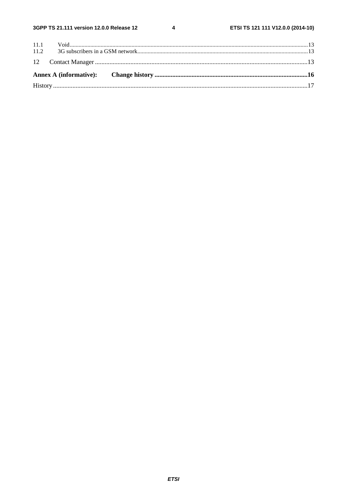$\overline{\mathbf{4}}$ 

| 11.2 |  |
|------|--|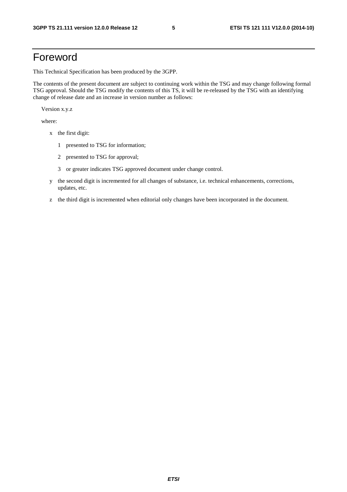# Foreword

This Technical Specification has been produced by the 3GPP.

The contents of the present document are subject to continuing work within the TSG and may change following formal TSG approval. Should the TSG modify the contents of this TS, it will be re-released by the TSG with an identifying change of release date and an increase in version number as follows:

Version x.y.z

where:

- x the first digit:
	- 1 presented to TSG for information;
	- 2 presented to TSG for approval;
	- 3 or greater indicates TSG approved document under change control.
- y the second digit is incremented for all changes of substance, i.e. technical enhancements, corrections, updates, etc.
- z the third digit is incremented when editorial only changes have been incorporated in the document.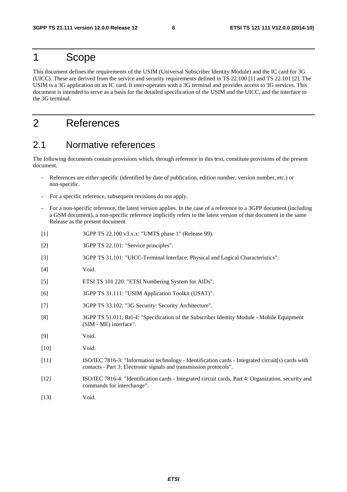### 1 Scope

This document defines the requirements of the USIM (Universal Subscriber Identity Module) and the IC card for 3G (UICC). These are derived from the service and security requirements defined in TS 22.100 [1] and TS 22.101 [2]. The USIM is a 3G application on an IC card. It inter-operates with a 3G terminal and provides access to 3G services. This document is intended to serve as a basis for the detailed specification of the USIM and the UICC, and the interface to the 3G terminal.

# 2 References

### 2.1 Normative references

The following documents contain provisions which, through reference in this text, constitute provisions of the present document.

- References are either specific (identified by date of publication, edition number, version number, etc.) or non-specific.
- For a specific reference, subsequent revisions do not apply.
- For a non-specific reference, the latest version applies. In the case of a reference to a 3GPP document (including a GSM document), a non-specific reference implicitly refers to the latest version of that document in the same Release as the present document.
- [1] 3GPP TS 22.100 v3.x.x: "UMTS phase 1" (Release 99).
- [2] 3GPP TS 22.101: "Service principles".
- [3] 3GPP TS 31.101: "UICC-Terminal Interface; Physical and Logical Characteristics".
- [4] Void.
- [5] ETSI TS 101 220: "ETSI Numbering System for AIDs".
- [6] 3GPP TS 31.111: "USIM Application Toolkit (USAT)".
- [7] 3GPP TS 33.102: "3G Security: Security Architecture".
- [8] 3GPP TS 51.011, Rel-4: "Specification of the Subscriber Identity Module Mobile Equipment (SIM - ME) interface".
- [9] Void.
- [10] **Void.**
- [11] ISO/IEC 7816-3: "Information technology Identification cards Integrated circuit(s) cards with contacts - Part 3: Electronic signals and transmission protocols".
- [12] ISO/IEC 7816-4: "Identification cards Integrated circuit cards, Part 4: Organization, security and commands for interchange".
- [13] **Void.**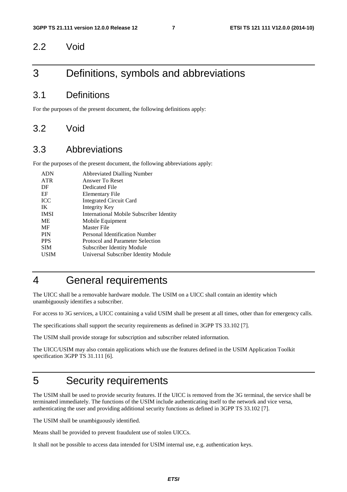#### 2.2 Void

### 3 Definitions, symbols and abbreviations

#### 3.1 Definitions

For the purposes of the present document, the following definitions apply:

#### 3.2 Void

#### 3.3 Abbreviations

For the purposes of the present document, the following abbreviations apply:

| <b>ADN</b>  | <b>Abbreviated Dialling Number</b>       |
|-------------|------------------------------------------|
| ATR         | Answer To Reset                          |
| DF          | Dedicated File                           |
| EF          | Elementary File                          |
| <b>ICC</b>  | <b>Integrated Circuit Card</b>           |
| IK          | Integrity Key                            |
| <b>IMSI</b> | International Mobile Subscriber Identity |
| <b>ME</b>   | Mobile Equipment                         |
| MF          | Master File                              |
| <b>PIN</b>  | Personal Identification Number           |
| <b>PPS</b>  | Protocol and Parameter Selection         |
| <b>SIM</b>  | <b>Subscriber Identity Module</b>        |
| USIM        | Universal Subscriber Identity Module     |
|             |                                          |

# 4 General requirements

The UICC shall be a removable hardware module. The USIM on a UICC shall contain an identity which unambiguously identifies a subscriber.

For access to 3G services, a UICC containing a valid USIM shall be present at all times, other than for emergency calls.

The specifications shall support the security requirements as defined in 3GPP TS 33.102 [7].

The USIM shall provide storage for subscription and subscriber related information.

The UICC/USIM may also contain applications which use the features defined in the USIM Application Toolkit specification 3GPP TS 31.111 [6].

### 5 Security requirements

The USIM shall be used to provide security features. If the UICC is removed from the 3G terminal, the service shall be terminated immediately. The functions of the USIM include authenticating itself to the network and vice versa, authenticating the user and providing additional security functions as defined in 3GPP TS 33.102 [7].

The USIM shall be unambiguously identified.

Means shall be provided to prevent fraudulent use of stolen UICCs.

It shall not be possible to access data intended for USIM internal use, e.g. authentication keys.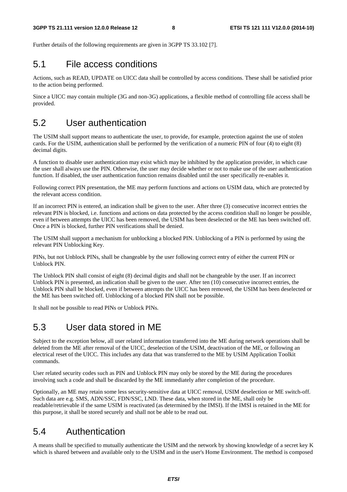Further details of the following requirements are given in 3GPP TS 33.102 [7].

#### 5.1 File access conditions

Actions, such as READ, UPDATE on UICC data shall be controlled by access conditions. These shall be satisfied prior to the action being performed.

Since a UICC may contain multiple (3G and non-3G) applications, a flexible method of controlling file access shall be provided.

### 5.2 User authentication

The USIM shall support means to authenticate the user, to provide, for example, protection against the use of stolen cards. For the USIM, authentication shall be performed by the verification of a numeric PIN of four (4) to eight (8) decimal digits.

A function to disable user authentication may exist which may be inhibited by the application provider, in which case the user shall always use the PIN. Otherwise, the user may decide whether or not to make use of the user authentication function. If disabled, the user authentication function remains disabled until the user specifically re-enables it.

Following correct PIN presentation, the ME may perform functions and actions on USIM data, which are protected by the relevant access condition.

If an incorrect PIN is entered, an indication shall be given to the user. After three (3) consecutive incorrect entries the relevant PIN is blocked, i.e. functions and actions on data protected by the access condition shall no longer be possible, even if between attempts the UICC has been removed, the USIM has been deselected or the ME has been switched off. Once a PIN is blocked, further PIN verifications shall be denied.

The USIM shall support a mechanism for unblocking a blocked PIN. Unblocking of a PIN is performed by using the relevant PIN Unblocking Key.

PINs, but not Unblock PINs, shall be changeable by the user following correct entry of either the current PIN or Unblock PIN.

The Unblock PIN shall consist of eight (8) decimal digits and shall not be changeable by the user. If an incorrect Unblock PIN is presented, an indication shall be given to the user. After ten (10) consecutive incorrect entries, the Unblock PIN shall be blocked, even if between attempts the UICC has been removed, the USIM has been deselected or the ME has been switched off. Unblocking of a blocked PIN shall not be possible.

It shall not be possible to read PINs or Unblock PINs.

### 5.3 User data stored in ME

Subject to the exception below, all user related information transferred into the ME during network operations shall be deleted from the ME after removal of the UICC, deselection of the USIM, deactivation of the ME, or following an electrical reset of the UICC. This includes any data that was transferred to the ME by USIM Application Toolkit commands.

User related security codes such as PIN and Unblock PIN may only be stored by the ME during the procedures involving such a code and shall be discarded by the ME immediately after completion of the procedure.

Optionally, an ME may retain some less security-sensitive data at UICC removal, USIM deselection or ME switch-off. Such data are e.g. SMS, ADN/SSC, FDN/SSC, LND. These data, when stored in the ME, shall only be readable/retrievable if the same USIM is reactivated (as determined by the IMSI). If the IMSI is retained in the ME for this purpose, it shall be stored securely and shall not be able to be read out.

### 5.4 Authentication

A means shall be specified to mutually authenticate the USIM and the network by showing knowledge of a secret key K which is shared between and available only to the USIM and in the user's Home Environment. The method is composed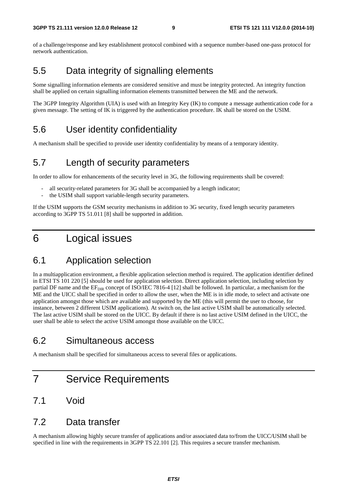of a challenge/response and key establishment protocol combined with a sequence number-based one-pass protocol for network authentication.

### 5.5 Data integrity of signalling elements

Some signalling information elements are considered sensitive and must be integrity protected. An integrity function shall be applied on certain signalling information elements transmitted between the ME and the network.

The 3GPP Integrity Algorithm (UIA) is used with an Integrity Key (IK) to compute a message authentication code for a given message. The setting of IK is triggered by the authentication procedure. IK shall be stored on the USIM.

### 5.6 User identity confidentiality

A mechanism shall be specified to provide user identity confidentiality by means of a temporary identity.

#### 5.7 Length of security parameters

In order to allow for enhancements of the security level in 3G, the following requirements shall be covered:

- all security-related parameters for 3G shall be accompanied by a length indicator;
- the USIM shall support variable-length security parameters.

If the USIM supports the GSM security mechanisms in addition to 3G security, fixed length security parameters according to 3GPP TS 51.011 [8] shall be supported in addition.

## 6 Logical issues

### 6.1 Application selection

In a multiapplication environment, a flexible application selection method is required. The application identifier defined in ETSI TS 101 220 [5] should be used for application selection. Direct application selection, including selection by partial DF name and the  $EF_{\text{DIR}}$  concept of ISO/IEC 7816-4 [12] shall be followed. In particular, a mechanism for the ME and the UICC shall be specified in order to allow the user, when the ME is in idle mode, to select and activate one application amongst those which are available and supported by the ME (this will permit the user to choose, for instance, between 2 different USIM applications). At switch on, the last active USIM shall be automatically selected. The last active USIM shall be stored on the UICC. By default if there is no last active USIM defined in the UICC, the user shall be able to select the active USIM amongst those available on the UICC.

### 6.2 Simultaneous access

A mechanism shall be specified for simultaneous access to several files or applications.

## 7 Service Requirements

#### 7.1 Void

#### 7.2 Data transfer

A mechanism allowing highly secure transfer of applications and/or associated data to/from the UICC/USIM shall be specified in line with the requirements in 3GPP TS 22.101 [2]. This requires a secure transfer mechanism.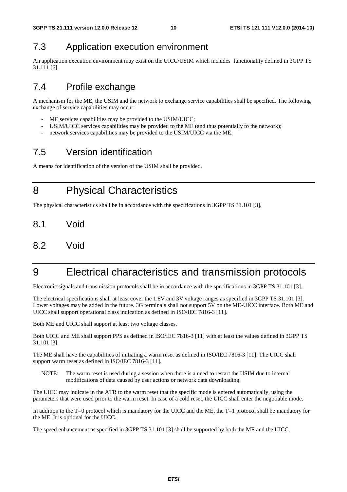### 7.3 Application execution environment

An application execution environment may exist on the UICC/USIM which includes functionality defined in 3GPP TS 31.111 [6].

### 7.4 Profile exchange

A mechanism for the ME, the USIM and the network to exchange service capabilities shall be specified. The following exchange of service capabilities may occur:

- ME services capabilities may be provided to the USIM/UICC;
- USIM/UICC services capabilities may be provided to the ME (and thus potentially to the network);
- network services capabilities may be provided to the USIM/UICC via the ME.

## 7.5 Version identification

A means for identification of the version of the USIM shall be provided.

8 Physical Characteristics

The physical characteristics shall be in accordance with the specifications in 3GPP TS 31.101 [3].

- 8.1 Void
- 8.2 Void

# 9 Electrical characteristics and transmission protocols

Electronic signals and transmission protocols shall be in accordance with the specifications in 3GPP TS 31.101 [3].

The electrical specifications shall at least cover the 1.8V and 3V voltage ranges as specified in 3GPP TS 31.101 [3]. Lower voltages may be added in the future. 3G terminals shall not support 5V on the ME-UICC interface. Both ME and UICC shall support operational class indication as defined in ISO/IEC 7816-3 [11].

Both ME and UICC shall support at least two voltage classes.

Both UICC and ME shall support PPS as defined in ISO/IEC 7816-3 [11] with at least the values defined in 3GPP TS 31.101 [3].

The ME shall have the capabilities of initiating a warm reset as defined in ISO/IEC 7816-3 [11]. The UICC shall support warm reset as defined in ISO/IEC 7816-3 [11].

NOTE: The warm reset is used during a session when there is a need to restart the USIM due to internal modifications of data caused by user actions or network data downloading.

The UICC may indicate in the ATR to the warm reset that the specific mode is entered automatically, using the parameters that were used prior to the warm reset. In case of a cold reset, the UICC shall enter the negotiable mode.

In addition to the T=0 protocol which is mandatory for the UICC and the ME, the T=1 protocol shall be mandatory for the ME. It is optional for the UICC.

The speed enhancement as specified in 3GPP TS 31.101 [3] shall be supported by both the ME and the UICC.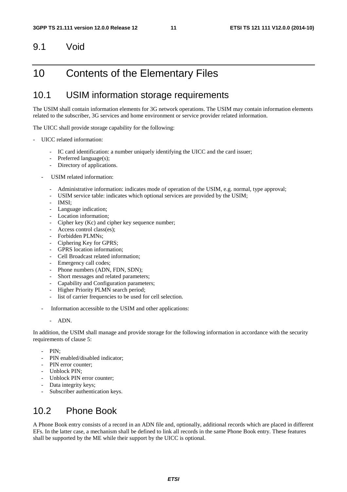#### 9.1 Void

### 10 Contents of the Elementary Files

### 10.1 USIM information storage requirements

The USIM shall contain information elements for 3G network operations. The USIM may contain information elements related to the subscriber, 3G services and home environment or service provider related information.

The UICC shall provide storage capability for the following:

- UICC related information:
	- IC card identification: a number uniquely identifying the UICC and the card issuer;
	- Preferred language(s);
	- Directory of applications.
	- USIM related information:
		- Administrative information: indicates mode of operation of the USIM, e.g. normal, type approval;
		- USIM service table: indicates which optional services are provided by the USIM;
		- IMSI:
		- Language indication;
		- Location information:
		- Cipher key (Kc) and cipher key sequence number;
		- Access control class(es);
		- Forbidden PLMNs;
		- Ciphering Key for GPRS;
		- GPRS location information:
		- Cell Broadcast related information:
		- Emergency call codes;
		- Phone numbers (ADN, FDN, SDN);
		- Short messages and related parameters;
		- Capability and Configuration parameters;
		- Higher Priority PLMN search period;
		- list of carrier frequencies to be used for cell selection.
	- Information accessible to the USIM and other applications:
		- ADN.

In addition, the USIM shall manage and provide storage for the following information in accordance with the security requirements of clause 5:

- PIN:
- PIN enabled/disabled indicator;
- PIN error counter:
- Unblock PIN;
- Unblock PIN error counter;
- Data integrity keys;
- Subscriber authentication keys.

### 10.2 Phone Book

A Phone Book entry consists of a record in an ADN file and, optionally, additional records which are placed in different EFs. In the latter case, a mechanism shall be defined to link all records in the same Phone Book entry. These features shall be supported by the ME while their support by the UICC is optional.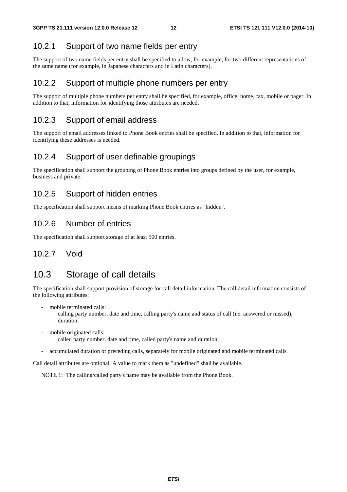#### 10.2.1 Support of two name fields per entry

The support of two name fields per entry shall be specified to allow, for example, for two different representations of the same name (for example, in Japanese characters and in Latin characters).

#### 10.2.2 Support of multiple phone numbers per entry

The support of multiple phone numbers per entry shall be specified, for example, office, home, fax, mobile or pager. In addition to that, information for identifying those attributes are needed.

#### 10.2.3 Support of email address

The support of email addresses linked to Phone Book entries shall be specified. In addition to that, information for identifying these addresses is needed.

#### 10.2.4 Support of user definable groupings

The specification shall support the grouping of Phone Book entries into groups defined by the user, for example, business and private.

#### 10.2.5 Support of hidden entries

The specification shall support means of marking Phone Book entries as "hidden".

#### 10.2.6 Number of entries

The specification shall support storage of at least 500 entries.

#### 10.2.7 Void

### 10.3 Storage of call details

The specification shall support provision of storage for call detail information. The call detail information consists of the following attributes:

mobile terminated calls:

 calling party number, date and time, calling party's name and status of call (i.e. answered or missed), duration;

- mobile originated calls: called party number, date and time, called party's name and duration;
- accumulated duration of preceding calls, separately for mobile originated and mobile terminated calls.

Call detail attributes are optional. A value to mark them as "undefined" shall be available.

NOTE 1: The calling/called party's name may be available from the Phone Book.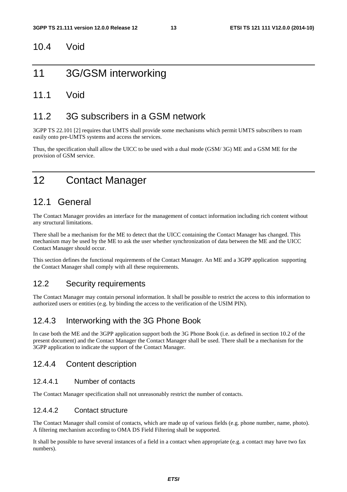#### 10.4 Void

### 11 3G/GSM interworking

#### 11.1 Void

#### 11.2 3G subscribers in a GSM network

3GPP TS 22.101 [2] requires that UMTS shall provide some mechanisms which permit UMTS subscribers to roam easily onto pre-UMTS systems and access the services.

Thus, the specification shall allow the UICC to be used with a dual mode (GSM/ 3G) ME and a GSM ME for the provision of GSM service.

# 12 Contact Manager

### 12.1 General

The Contact Manager provides an interface for the management of contact information including rich content without any structural limitations.

There shall be a mechanism for the ME to detect that the UICC containing the Contact Manager has changed. This mechanism may be used by the ME to ask the user whether synchronization of data between the ME and the UICC Contact Manager should occur.

This section defines the functional requirements of the Contact Manager. An ME and a 3GPP application supporting the Contact Manager shall comply with all these requirements.

#### 12.2 Security requirements

The Contact Manager may contain personal information. It shall be possible to restrict the access to this information to authorized users or entities (e.g. by binding the access to the verification of the USIM PIN).

#### 12.4.3 Interworking with the 3G Phone Book

In case both the ME and the 3GPP application support both the 3G Phone Book (i.e. as defined in section 10.2 of the present document) and the Contact Manager the Contact Manager shall be used. There shall be a mechanism for the 3GPP application to indicate the support of the Contact Manager.

#### 12.4.4 Content description

#### 12.4.4.1 Number of contacts

The Contact Manager specification shall not unreasonably restrict the number of contacts.

#### 12.4.4.2 Contact structure

The Contact Manager shall consist of contacts, which are made up of various fields (e.g. phone number, name, photo). A filtering mechanism according to OMA DS Field Filtering shall be supported.

It shall be possible to have several instances of a field in a contact when appropriate (e.g. a contact may have two fax numbers).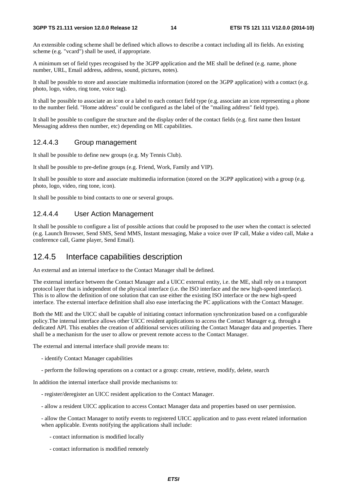An extensible coding scheme shall be defined which allows to describe a contact including all its fields. An existing scheme (e.g. "vcard") shall be used, if appropriate.

A minimum set of field types recognised by the 3GPP application and the ME shall be defined (e.g. name, phone number, URL, Email address, address, sound, pictures, notes).

It shall be possible to store and associate multimedia information (stored on the 3GPP application) with a contact (e.g. photo, logo, video, ring tone, voice tag).

It shall be possible to associate an icon or a label to each contact field type (e.g. associate an icon representing a phone to the number field. "Home address" could be configured as the label of the "mailing address" field type).

It shall be possible to configure the structure and the display order of the contact fields (e.g. first name then Instant Messaging address then number, etc) depending on ME capabilities.

#### 12.4.4.3 Group management

It shall be possible to define new groups (e.g. My Tennis Club).

It shall be possible to pre-define groups (e.g. Friend, Work, Family and VIP).

It shall be possible to store and associate multimedia information (stored on the 3GPP application) with a group (e.g. photo, logo, video, ring tone, icon).

It shall be possible to bind contacts to one or several groups.

#### 12.4.4.4 User Action Management

It shall be possible to configure a list of possible actions that could be proposed to the user when the contact is selected (e.g. Launch Browser, Send SMS, Send MMS, Instant messaging, Make a voice over IP call, Make a video call, Make a conference call, Game player, Send Email).

#### 12.4.5 Interface capabilities description

An external and an internal interface to the Contact Manager shall be defined.

The external interface between the Contact Manager and a UICC external entity, i.e. the ME, shall rely on a transport protocol layer that is independent of the physical interface (i.e. the ISO interface and the new high-speed interface). This is to allow the definition of one solution that can use either the existing ISO interface or the new high-speed interface. The external interface definition shall also ease interfacing the PC applications with the Contact Manager.

Both the ME and the UICC shall be capable of initiating contact information synchronization based on a configurable policy.The internal interface allows other UICC resident applications to access the Contact Manager e.g. through a dedicated API. This enables the creation of additional services utilizing the Contact Manager data and properties. There shall be a mechanism for the user to allow or prevent remote access to the Contact Manager.

The external and internal interface shall provide means to:

- identify Contact Manager capabilities
- perform the following operations on a contact or a group: create, retrieve, modify, delete, search

In addition the internal interface shall provide mechanisms to:

- register/deregister an UICC resident application to the Contact Manager.
- allow a resident UICC application to access Contact Manager data and properties based on user permission.

- allow the Contact Manager to notify events to registered UICC application and to pass event related information when applicable. Events notifying the applications shall include:

- contact information is modified locally
- contact information is modified remotely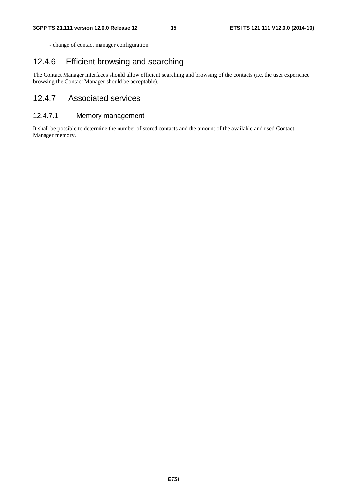- change of contact manager configuration

#### 12.4.6 Efficient browsing and searching

The Contact Manager interfaces should allow efficient searching and browsing of the contacts (i.e. the user experience browsing the Contact Manager should be acceptable).

#### 12.4.7 Associated services

#### 12.4.7.1 Memory management

It shall be possible to determine the number of stored contacts and the amount of the available and used Contact Manager memory.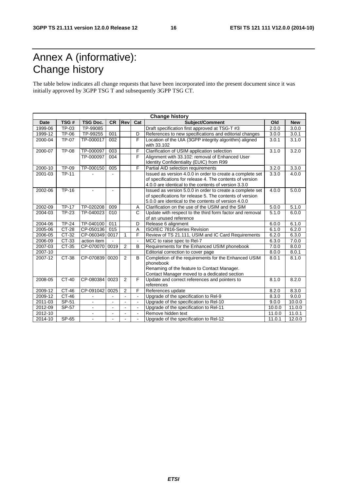# Annex A (informative): Change history

The table below indicates all change requests that have been incorporated into the present document since it was initially approved by 3GPP TSG T and subsequently 3GPP TSG CT.

| <b>Change history</b> |              |                 |                |                |                |                                                           |        |            |
|-----------------------|--------------|-----------------|----------------|----------------|----------------|-----------------------------------------------------------|--------|------------|
| <b>Date</b>           | TSG#         | <b>TSG Doc.</b> | <b>CR</b>      | Revl           | Cat            | Subject/Comment                                           | Old    | <b>New</b> |
| 1999-06               | TP-03        | TP-99085        |                |                |                | Draft specification first approved at TSG-T #3            | 2.0.0  | 3.0.0      |
| 1999-12               | TP-06        | TP-99255        | 001            |                | D              | References to new specifications and editorial changes    | 3.0.0  | 3.0.1      |
| 2000-04               | TP-07        | TP-000017       | 002            |                | F              | Location of the UIA (3GPP integrity algorithm) aligned    | 3.0.1  | 3.1.0      |
|                       |              |                 |                |                |                | with 33.102                                               |        |            |
| 2000-07               | <b>TP-08</b> | TP-000097       | 003            |                | F              | Clarification of USIM application selection               | 3.1.0  | 3.2.0      |
|                       |              | TP-000097       | 004            |                | F              | Alignment with 33.102: removal of Enhanced User           |        |            |
|                       |              |                 |                |                |                | Identity Confidentiality (EUIC) from R99                  |        |            |
| 2000-10               | <b>TP-09</b> | TP-000150       | 005            |                | F              | Partial AID selection requirements                        | 3.2.0  | 3.3.0      |
| 2001-03               | <b>TP-11</b> |                 |                |                |                | Issued as version 4.0.0 in order to create a complete set | 3.3.0  | 4.0.0      |
|                       |              |                 |                |                |                | of specifications for release 4. The contents of version  |        |            |
|                       |              |                 |                |                |                | 4.0.0 are identical to the contents of version 3.3.0      |        |            |
| 2002-06               | $TP-16$      | $\mathbf{r}$    | $\sim$         |                |                | Issued as version 5.0.0 in order to create a complete set | 4.0.0  | 5.0.0      |
|                       |              |                 |                |                |                | of specifications for release 5. The contents of version  |        |            |
|                       |              |                 |                |                |                | 5.0.0 are identical to the contents of version 4.0.0      |        |            |
| 2002-09               | <b>TP-17</b> | TP-020208       | 009            |                | A              | Clarification on the use of the USIM and the SIM          | 5.0.0  | 5.1.0      |
| 2004-03               | <b>TP-23</b> | TP-040023       | 010            |                | C              | Update with respect to the third form factor and removal  | 5.1.0  | 6.0.0      |
|                       |              |                 |                |                |                | of an unused reference                                    |        |            |
| 2004-06               | <b>TP-24</b> | TP-040100       | 011            |                | D              | Release 6 alignment                                       | 6.0.0  | 6.1.0      |
| 2005-06               | $CT-28$      | CP-050136       | 015            |                | $\overline{A}$ | ISO/IEC 7816-Series Revision                              | 6.1.0  | 6.2.0      |
| 2006-05               | CT-32        | CP-060349       | 0017           | $\mathbf{1}$   | F              | Review of TS 21.111, USIM and IC Card Requirements        | 6.2.0  | 6.3.0      |
| 2006-09               | CT-33        | action item     |                |                |                | MCC to raise spec to Rel-7                                | 6.3.0  | 7.0.0      |
| 2007-03               | CT-35        | CP-070070       | 0019           | 2              | B              | Requirements for the Enhanced USIM phonebook              | 7.0.0  | 8.0.0      |
| 2007-10               |              |                 |                |                |                | Editorial correction to cover page                        | 8.0.0  | 8.0.1      |
| 2007-12               | CT-38        | CP-070839       | 0020           | 2              | B              | Completion of the requirements for the Enhanced USIM      | 8.0.1  | 8.1.0      |
|                       |              |                 |                |                |                | phonebook                                                 |        |            |
|                       |              |                 |                |                |                | Renaming of the feature to Contact Manager.               |        |            |
|                       |              |                 |                |                |                | Contact Manager moved to a dedicated section              |        |            |
| 2008-05               | $CT-40$      | CP-080384       | 0023           | $\overline{2}$ | F              | Update and correct references and pointers to             | 8.1.0  | 8.2.0      |
|                       |              |                 |                |                |                | references                                                |        |            |
| 2009-12               | $CT-46$      | CP-091042       | 0025           | 2              | F              | References update                                         | 8.2.0  | 8.3.0      |
| 2009-12               | $CT-46$      |                 |                |                |                | Upgrade of the specification to Rel-9                     | 8.3.0  | 9.0.0      |
| 2011-03               | SP-51        |                 |                | ÷.             |                | Upgrade of the specification to Rel-10                    | 9.0.0  | 10.0.0     |
| 2012-09               | SP-57        | $\blacksquare$  | $\blacksquare$ | ä,             |                | Upgrade of the specification to Rel-11                    | 10.0.0 | 11.0.0     |
| 2012-10               |              | $\overline{a}$  |                |                | L,             | Remove hidden text                                        | 11.0.0 | 11.0.1     |
| 2014-10               | SP-65        |                 |                |                |                | Upgrade of the specification to Rel-12                    | 11.0.1 | 12.0.0     |